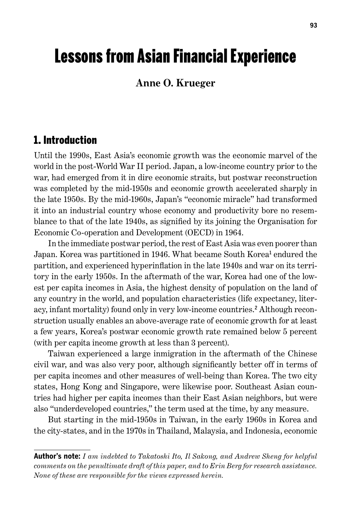# Lessons from Asian Financial Experience

#### **Anne O. Krueger**

### 1. Introduction

Until the 1990s, East Asia's economic growth was the economic marvel of the world in the post-World War II period. Japan, a low-income country prior to the war, had emerged from it in dire economic straits, but postwar reconstruction was completed by the mid-1950s and economic growth accelerated sharply in the late 1950s. By the mid-1960s, Japan's "economic miracle" had transformed it into an industrial country whose economy and productivity bore no resemblance to that of the late 1940s, as signified by its joining the Organisation for Economic Co-operation and Development (OECD) in 1964.

In the immediate postwar period, the rest of East Asia was even poorer than Japan. Korea was partitioned in 1946. What became South Korea<sup>1</sup> endured the partition, and experienced hyperinflation in the late 1940s and war on its territory in the early 1950s. In the aftermath of the war, Korea had one of the lowest per capita incomes in Asia, the highest density of population on the land of any country in the world, and population characteristics (life expectancy, literacy, infant mortality) found only in very low-income countries. 2 Although reconstruction usually enables an above-average rate of economic growth for at least a few years, Korea's postwar economic growth rate remained below 5 percent (with per capita income growth at less than 3 percent).

Taiwan experienced a large inmigration in the aftermath of the Chinese civil war, and was also very poor, although significantly better off in terms of per capita incomes and other measures of well-being than Korea. The two city states, Hong Kong and Singapore, were likewise poor. Southeast Asian countries had higher per capita incomes than their East Asian neighbors, but were also "underdeveloped countries," the term used at the time, by any measure.

But starting in the mid-1950s in Taiwan, in the early 1960s in Korea and the city-states, and in the 1970s in Thailand, Malaysia, and Indonesia, economic

**Author's note:** *I am indebted to Takatoshi Ito, Il Sakong, and Andrew Sheng for helpful comments on the penultimate draft of this paper, and to Erin Berg for research assistance. None of these are responsible for the views expressed herein.*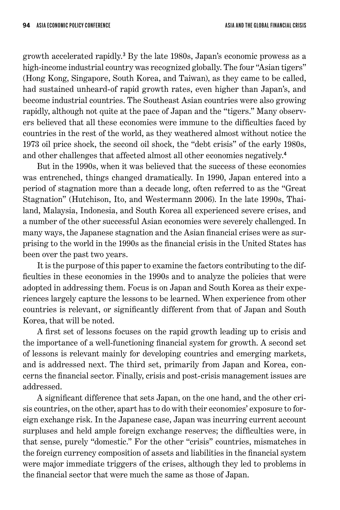growth accelerated rapidly. 3 By the late 1980s, Japan's economic prowess as a high-income industrial country was recognized globally. The four "Asian tigers" (Hong Kong, Singapore, South Korea, and Taiwan), as they came to be called, had sustained unheard-of rapid growth rates, even higher than Japan's, and become industrial countries. The Southeast Asian countries were also growing rapidly, although not quite at the pace of Japan and the "tigers." Many observers believed that all these economies were immune to the difficulties faced by countries in the rest of the world, as they weathered almost without notice the 1973 oil price shock, the second oil shock, the "debt crisis" of the early 1980s, and other challenges that affected almost all other economies negatively. 4

But in the 1990s, when it was believed that the success of these economies was entrenched, things changed dramatically. In 1990, Japan entered into a period of stagnation more than a decade long, often referred to as the "Great Stagnation" (Hutchison, Ito, and Westermann 2006). In the late 1990s, Thailand, Malaysia, Indonesia, and South Korea all experienced severe crises, and a number of the other successful Asian economies were severely challenged. In many ways, the Japanese stagnation and the Asian financial crises were as surprising to the world in the 1990s as the financial crisis in the United States has been over the past two years.

It is the purpose of this paper to examine the factors contributing to the difficulties in these economies in the 1990s and to analyze the policies that were adopted in addressing them. Focus is on Japan and South Korea as their experiences largely capture the lessons to be learned. When experience from other countries is relevant, or significantly different from that of Japan and South Korea, that will be noted.

A first set of lessons focuses on the rapid growth leading up to crisis and the importance of a well-functioning financial system for growth. A second set of lessons is relevant mainly for developing countries and emerging markets, and is addressed next. The third set, primarily from Japan and Korea, concerns the financial sector. Finally, crisis and post-crisis management issues are addressed.

A significant difference that sets Japan, on the one hand, and the other crisis countries, on the other, apart has to do with their economies' exposure to foreign exchange risk. In the Japanese case, Japan was incurring current account surpluses and held ample foreign exchange reserves; the difficulties were, in that sense, purely "domestic." For the other "crisis" countries, mismatches in the foreign currency composition of assets and liabilities in the financial system were major immediate triggers of the crises, although they led to problems in the financial sector that were much the same as those of Japan.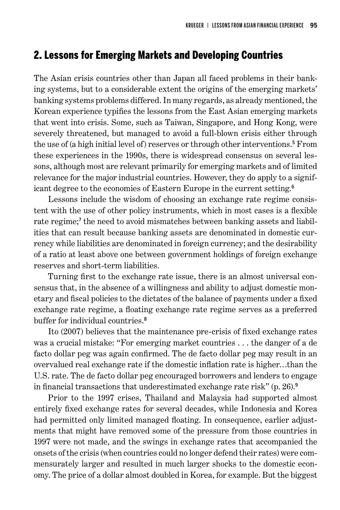#### 2. Lessons for Emerging Markets and Developing Countries

The Asian crisis countries other than Japan all faced problems in their banking systems, but to a considerable extent the origins of the emerging markets' banking systems problems differed. In many regards, as already mentioned, the Korean experience typifies the lessons from the East Asian emerging markets that went into crisis. Some, such as Taiwan, Singapore, and Hong Kong, were severely threatened, but managed to avoid a full-blown crisis either through the use of (a high initial level of) reserves or through other interventions. 5 From these experiences in the 1990s, there is widespread consensus on several lessons, although most are relevant primarily for emerging markets and of limited relevance for the major industrial countries. However, they do apply to a significant degree to the economies of Eastern Europe in the current setting. 6

Lessons include the wisdom of choosing an exchange rate regime consistent with the use of other policy instruments, which in most cases is a flexible rate regime;<sup>7</sup> the need to avoid mismatches between banking assets and liabilities that can result because banking assets are denominated in domestic currency while liabilities are denominated in foreign currency; and the desirability of a ratio at least above one between government holdings of foreign exchange reserves and short-term liabilities.

Turning first to the exchange rate issue, there is an almost universal consensus that, in the absence of a willingness and ability to adjust domestic monetary and fiscal policies to the dictates of the balance of payments under a fixed exchange rate regime, a floating exchange rate regime serves as a preferred buffer for individual countries. 8

Ito (2007) believes that the maintenance pre-crisis of fixed exchange rates was a crucial mistake: "For emerging market countries ... the danger of a de facto dollar peg was again confirmed. The de facto dollar peg may result in an overvalued real exchange rate if the domestic inflation rate is higher…than the U.S. rate. The de facto dollar peg encouraged borrowers and lenders to engage in financial transactions that underestimated exchange rate risk" (p. 26). 9

Prior to the 1997 crises, Thailand and Malaysia had supported almost entirely fixed exchange rates for several decades, while Indonesia and Korea had permitted only limited managed floating. In consequence, earlier adjustments that might have removed some of the pressure from those countries in 1997 were not made, and the swings in exchange rates that accompanied the onsets of the crisis (when countries could no longer defend their rates) were commensurately larger and resulted in much larger shocks to the domestic economy. The price of a dollar almost doubled in Korea, for example. But the biggest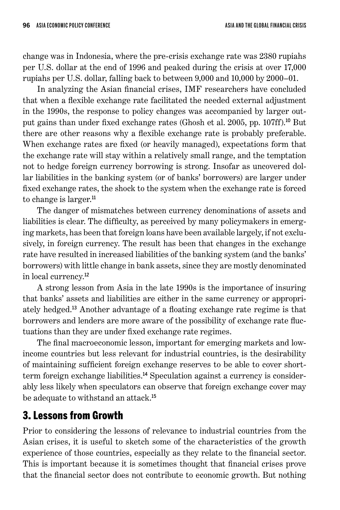change was in Indonesia, where the pre-crisis exchange rate was 2380 rupiahs per U.S. dollar at the end of 1996 and peaked during the crisis at over 17,000 rupiahs per U.S. dollar, falling back to between 9,000 and 10,000 by 2000–01.

In analyzing the Asian financial crises, IMF researchers have concluded that when a flexible exchange rate facilitated the needed external adjustment in the 1990s, the response to policy changes was accompanied by larger output gains than under fixed exchange rates (Ghosh et al. 2005, pp. 107ff). <sup>10</sup> But there are other reasons why a flexible exchange rate is probably preferable. When exchange rates are fixed (or heavily managed), expectations form that the exchange rate will stay within a relatively small range, and the temptation not to hedge foreign currency borrowing is strong. Insofar as uncovered dollar liabilities in the banking system (or of banks' borrowers) are larger under fixed exchange rates, the shock to the system when the exchange rate is forced to change is larger.<sup>11</sup>

The danger of mismatches between currency denominations of assets and liabilities is clear. The difficulty, as perceived by many policymakers in emerging markets, has been that foreign loans have been available largely, if not exclusively, in foreign currency. The result has been that changes in the exchange rate have resulted in increased liabilities of the banking system (and the banks' borrowers) with little change in bank assets, since they are mostly denominated in local currency. 12

A strong lesson from Asia in the late 1990s is the importance of insuring that banks' assets and liabilities are either in the same currency or appropriately hedged. <sup>13</sup> Another advantage of a floating exchange rate regime is that borrowers and lenders are more aware of the possibility of exchange rate fluctuations than they are under fixed exchange rate regimes.

The final macroeconomic lesson, important for emerging markets and lowincome countries but less relevant for industrial countries, is the desirability of maintaining sufficient foreign exchange reserves to be able to cover shortterm foreign exchange liabilities. 14 Speculation against a currency is considerably less likely when speculators can observe that foreign exchange cover may be adequate to withstand an attack. 15

# 3. Lessons from Growth

Prior to considering the lessons of relevance to industrial countries from the Asian crises, it is useful to sketch some of the characteristics of the growth experience of those countries, especially as they relate to the financial sector. This is important because it is sometimes thought that financial crises prove that the financial sector does not contribute to economic growth. But nothing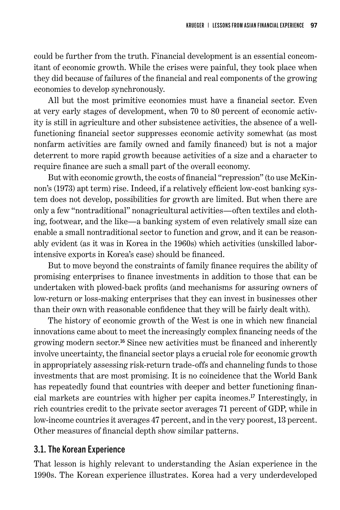could be further from the truth. Financial development is an essential concomitant of economic growth. While the crises were painful, they took place when they did because of failures of the financial and real components of the growing economies to develop synchronously.

All but the most primitive economies must have a financial sector. Even at very early stages of development, when 70 to 80 percent of economic activity is still in agriculture and other subsistence activities, the absence of a wellfunctioning financial sector suppresses economic activity somewhat (as most nonfarm activities are family owned and family financed) but is not a major deterrent to more rapid growth because activities of a size and a character to require finance are such a small part of the overall economy.

But with economic growth, the costs of financial "repression" (to use McKinnon's (1973) apt term) rise. Indeed, if a relatively efficient low-cost banking system does not develop, possibilities for growth are limited. But when there are only a few "nontraditional" nonagricultural activities—often textiles and clothing, footwear, and the like—a banking system of even relatively small size can enable a small nontraditional sector to function and grow, and it can be reasonably evident (as it was in Korea in the 1960s) which activities (unskilled laborintensive exports in Korea's case) should be financed.

But to move beyond the constraints of family finance requires the ability of promising enterprises to finance investments in addition to those that can be undertaken with plowed-back profits (and mechanisms for assuring owners of low-return or loss-making enterprises that they can invest in businesses other than their own with reasonable confidence that they will be fairly dealt with).

The history of economic growth of the West is one in which new financial innovations came about to meet the increasingly complex financing needs of the growing modern sector. <sup>16</sup> Since new activities must be financed and inherently involve uncertainty, the financial sector plays a crucial role for economic growth in appropriately assessing risk-return trade-offs and channeling funds to those investments that are most promising. It is no coincidence that the World Bank has repeatedly found that countries with deeper and better functioning financial markets are countries with higher per capita incomes. <sup>17</sup> Interestingly, in rich countries credit to the private sector averages 71 percent of GDP, while in low-income countries it averages 47 percent, and in the very poorest, 13 percent. Other measures of financial depth show similar patterns.

#### 3.1. The Korean Experience

That lesson is highly relevant to understanding the Asian experience in the 1990s. The Korean experience illustrates. Korea had a very underdeveloped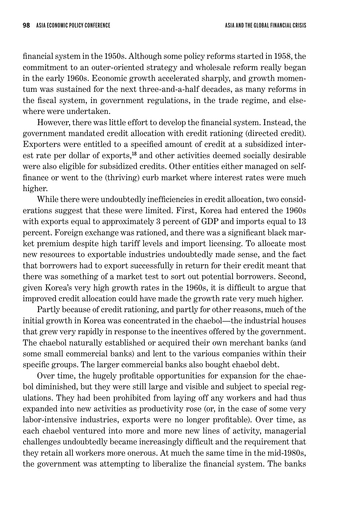financial system in the 1950s. Although some policy reforms started in 1958, the commitment to an outer-oriented strategy and wholesale reform really began in the early 1960s. Economic growth accelerated sharply, and growth momentum was sustained for the next three-and-a-half decades, as many reforms in the fiscal system, in government regulations, in the trade regime, and elsewhere were undertaken.

However, there was little effort to develop the financial system. Instead, the government mandated credit allocation with credit rationing (directed credit). Exporters were entitled to a specified amount of credit at a subsidized interest rate per dollar of exports,<sup>18</sup> and other activities deemed socially desirable were also eligible for subsidized credits. Other entities either managed on selffinance or went to the (thriving) curb market where interest rates were much higher.

While there were undoubtedly inefficiencies in credit allocation, two considerations suggest that these were limited. First, Korea had entered the 1960s with exports equal to approximately 3 percent of GDP and imports equal to 13 percent. Foreign exchange was rationed, and there was a significant black market premium despite high tariff levels and import licensing. To allocate most new resources to exportable industries undoubtedly made sense, and the fact that borrowers had to export successfully in return for their credit meant that there was something of a market test to sort out potential borrowers. Second, given Korea's very high growth rates in the 1960s, it is difficult to argue that improved credit allocation could have made the growth rate very much higher.

Partly because of credit rationing, and partly for other reasons, much of the initial growth in Korea was concentrated in the chaebol—the industrial houses that grew very rapidly in response to the incentives offered by the government. The chaebol naturally established or acquired their own merchant banks (and some small commercial banks) and lent to the various companies within their specific groups. The larger commercial banks also bought chaebol debt.

Over time, the hugely profitable opportunities for expansion for the chaebol diminished, but they were still large and visible and subject to special regulations. They had been prohibited from laying off any workers and had thus expanded into new activities as productivity rose (or, in the case of some very labor-intensive industries, exports were no longer profitable). Over time, as each chaebol ventured into more and more new lines of activity, managerial challenges undoubtedly became increasingly difficult and the requirement that they retain all workers more onerous. At much the same time in the mid-1980s, the government was attempting to liberalize the financial system. The banks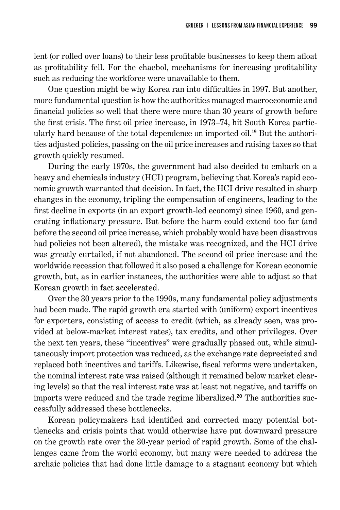lent (or rolled over loans) to their less profitable businesses to keep them afloat as profitability fell. For the chaebol, mechanisms for increasing profitability such as reducing the workforce were unavailable to them.

One question might be why Korea ran into difficulties in 1997. But another, more fundamental question is how the authorities managed macroeconomic and financial policies so well that there were more than 30 years of growth before the first crisis. The first oil price increase, in 1973–74, hit South Korea particularly hard because of the total dependence on imported oil. 19 But the authorities adjusted policies, passing on the oil price increases and raising taxes so that growth quickly resumed.

During the early 1970s, the government had also decided to embark on a heavy and chemicals industry (HCI) program, believing that Korea's rapid economic growth warranted that decision. In fact, the HCI drive resulted in sharp changes in the economy, tripling the compensation of engineers, leading to the first decline in exports (in an export growth-led economy) since 1960, and generating inflationary pressure. But before the harm could extend too far (and before the second oil price increase, which probably would have been disastrous had policies not been altered), the mistake was recognized, and the HCI drive was greatly curtailed, if not abandoned. The second oil price increase and the worldwide recession that followed it also posed a challenge for Korean economic growth, but, as in earlier instances, the authorities were able to adjust so that Korean growth in fact accelerated.

Over the 30 years prior to the 1990s, many fundamental policy adjustments had been made. The rapid growth era started with (uniform) export incentives for exporters, consisting of access to credit (which, as already seen, was provided at below-market interest rates), tax credits, and other privileges. Over the next ten years, these "incentives" were gradually phased out, while simultaneously import protection was reduced, as the exchange rate depreciated and replaced both incentives and tariffs. Likewise, fiscal reforms were undertaken, the nominal interest rate was raised (although it remained below market clearing levels) so that the real interest rate was at least not negative, and tariffs on imports were reduced and the trade regime liberalized. 20 The authorities successfully addressed these bottlenecks.

Korean policymakers had identified and corrected many potential bottlenecks and crisis points that would otherwise have put downward pressure on the growth rate over the 30-year period of rapid growth. Some of the challenges came from the world economy, but many were needed to address the archaic policies that had done little damage to a stagnant economy but which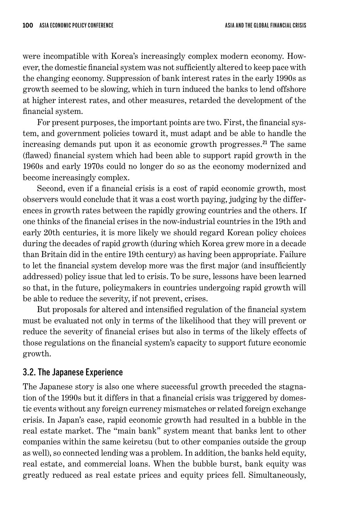were incompatible with Korea's increasingly complex modern economy. However, the domestic financial system was not sufficiently altered to keep pace with the changing economy. Suppression of bank interest rates in the early 1990s as growth seemed to be slowing, which in turn induced the banks to lend offshore at higher interest rates, and other measures, retarded the development of the financial system.

For present purposes, the important points are two. First, the financial system, and government policies toward it, must adapt and be able to handle the increasing demands put upon it as economic growth progresses. <sup>21</sup> The same (flawed) financial system which had been able to support rapid growth in the 1960s and early 1970s could no longer do so as the economy modernized and become increasingly complex.

Second, even if a financial crisis is a cost of rapid economic growth, most observers would conclude that it was a cost worth paying, judging by the differences in growth rates between the rapidly growing countries and the others. If one thinks of the financial crises in the now-industrial countries in the 19th and early 20th centuries, it is more likely we should regard Korean policy choices during the decades of rapid growth (during which Korea grew more in a decade than Britain did in the entire 19th century) as having been appropriate. Failure to let the financial system develop more was the first major (and insufficiently addressed) policy issue that led to crisis. To be sure, lessons have been learned so that, in the future, policymakers in countries undergoing rapid growth will be able to reduce the severity, if not prevent, crises.

But proposals for altered and intensified regulation of the financial system must be evaluated not only in terms of the likelihood that they will prevent or reduce the severity of financial crises but also in terms of the likely effects of those regulations on the financial system's capacity to support future economic growth.

#### 3.2. The Japanese Experience

The Japanese story is also one where successful growth preceded the stagnation of the 1990s but it differs in that a financial crisis was triggered by domestic events without any foreign currency mismatches or related foreign exchange crisis. In Japan's case, rapid economic growth had resulted in a bubble in the real estate market. The "main bank" system meant that banks lent to other companies within the same keiretsu (but to other companies outside the group as well), so connected lending was a problem. In addition, the banks held equity, real estate, and commercial loans. When the bubble burst, bank equity was greatly reduced as real estate prices and equity prices fell. Simultaneously,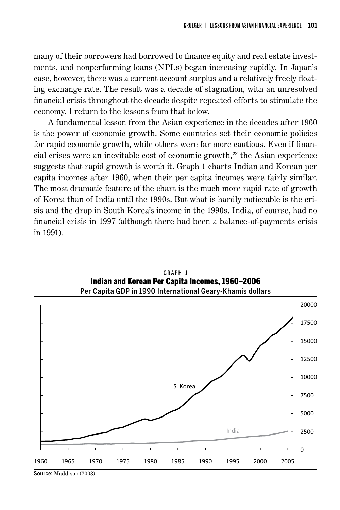many of their borrowers had borrowed to finance equity and real estate investments, and nonperforming loans (NPLs) began increasing rapidly. In Japan's case, however, there was a current account surplus and a relatively freely floating exchange rate. The result was a decade of stagnation, with an unresolved financial crisis throughout the decade despite repeated efforts to stimulate the economy. I return to the lessons from that below.

A fundamental lesson from the Asian experience in the decades after 1960 is the power of economic growth. Some countries set their economic policies for rapid economic growth, while others were far more cautious. Even if financial crises were an inevitable cost of economic growth,<sup>22</sup> the Asian experience suggests that rapid growth is worth it. Graph 1 charts Indian and Korean per capita incomes after 1960, when their per capita incomes were fairly similar. The most dramatic feature of the chart is the much more rapid rate of growth of Korea than of India until the 1990s. But what is hardly noticeable is the crisis and the drop in South Korea's income in the 1990s. India, of course, had no financial crisis in 1997 (although there had been a balance-of-payments crisis in 1991).

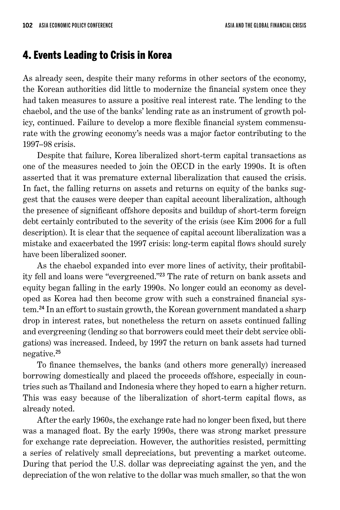#### 4. Events Leading to Crisis in Korea

As already seen, despite their many reforms in other sectors of the economy, the Korean authorities did little to modernize the financial system once they had taken measures to assure a positive real interest rate. The lending to the chaebol, and the use of the banks' lending rate as an instrument of growth policy, continued. Failure to develop a more flexible financial system commensurate with the growing economy's needs was a major factor contributing to the 1997–98 crisis.

Despite that failure, Korea liberalized short-term capital transactions as one of the measures needed to join the OECD in the early 1990s. It is often asserted that it was premature external liberalization that caused the crisis. In fact, the falling returns on assets and returns on equity of the banks suggest that the causes were deeper than capital account liberalization, although the presence of significant offshore deposits and buildup of short-term foreign debt certainly contributed to the severity of the crisis (see Kim 2006 for a full description). It is clear that the sequence of capital account liberalization was a mistake and exacerbated the 1997 crisis: long-term capital flows should surely have been liberalized sooner.

As the chaebol expanded into ever more lines of activity, their profitability fell and loans were "evergreened."<sup>23</sup> The rate of return on bank assets and equity began falling in the early 1990s. No longer could an economy as developed as Korea had then become grow with such a constrained financial system. <sup>24</sup> In an effort to sustain growth, the Korean government mandated a sharp drop in interest rates, but nonetheless the return on assets continued falling and evergreening (lending so that borrowers could meet their debt service obligations) was increased. Indeed, by 1997 the return on bank assets had turned negative. 25

To finance themselves, the banks (and others more generally) increased borrowing domestically and placed the proceeds offshore, especially in countries such as Thailand and Indonesia where they hoped to earn a higher return. This was easy because of the liberalization of short-term capital flows, as already noted.

After the early 1960s, the exchange rate had no longer been fixed, but there was a managed float. By the early 1990s, there was strong market pressure for exchange rate depreciation. However, the authorities resisted, permitting a series of relatively small depreciations, but preventing a market outcome. During that period the U.S. dollar was depreciating against the yen, and the depreciation of the won relative to the dollar was much smaller, so that the won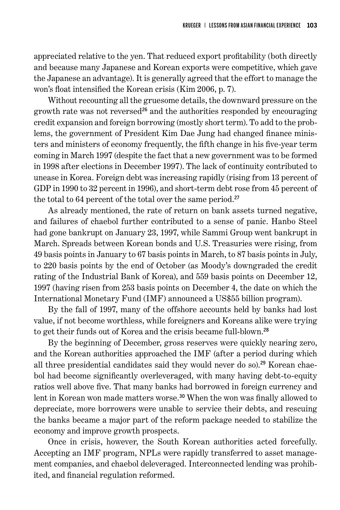appreciated relative to the yen. That reduced export profitability (both directly and because many Japanese and Korean exports were competitive, which gave the Japanese an advantage). It is generally agreed that the effort to manage the won's float intensified the Korean crisis (Kim 2006, p. 7).

Without recounting all the gruesome details, the downward pressure on the growth rate was not reversed<sup>26</sup> and the authorities responded by encouraging credit expansion and foreign borrowing (mostly short term). To add to the problems, the government of President Kim Dae Jung had changed finance ministers and ministers of economy frequently, the fifth change in his five-year term coming in March 1997 (despite the fact that a new government was to be formed in 1998 after elections in December 1997). The lack of continuity contributed to unease in Korea. Foreign debt was increasing rapidly (rising from 13 percent of GDP in 1990 to 32 percent in 1996), and short-term debt rose from 45 percent of the total to 64 percent of the total over the same period. 27

As already mentioned, the rate of return on bank assets turned negative, and failures of chaebol further contributed to a sense of panic. Hanbo Steel had gone bankrupt on January 23, 1997, while Sammi Group went bankrupt in March. Spreads between Korean bonds and U.S. Treasuries were rising, from 49 basis points in January to 67 basis points in March, to 87 basis points in July, to 220 basis points by the end of October (as Moody's downgraded the credit rating of the Industrial Bank of Korea), and 559 basis points on December 12, 1997 (having risen from 253 basis points on December 4, the date on which the International Monetary Fund (IMF) announced a US\$55 billion program).

By the fall of 1997, many of the offshore accounts held by banks had lost value, if not become worthless, while foreigners and Koreans alike were trying to get their funds out of Korea and the crisis became full-blown.<sup>28</sup>

By the beginning of December, gross reserves were quickly nearing zero, and the Korean authorities approached the IMF (after a period during which all three presidential candidates said they would never do so). 29 Korean chaebol had become significantly overleveraged, with many having debt-to-equity ratios well above five. That many banks had borrowed in foreign currency and lent in Korean won made matters worse. <sup>30</sup> When the won was finally allowed to depreciate, more borrowers were unable to service their debts, and rescuing the banks became a major part of the reform package needed to stabilize the economy and improve growth prospects.

Once in crisis, however, the South Korean authorities acted forcefully. Accepting an IMF program, NPLs were rapidly transferred to asset management companies, and chaebol deleveraged. Interconnected lending was prohibited, and financial regulation reformed.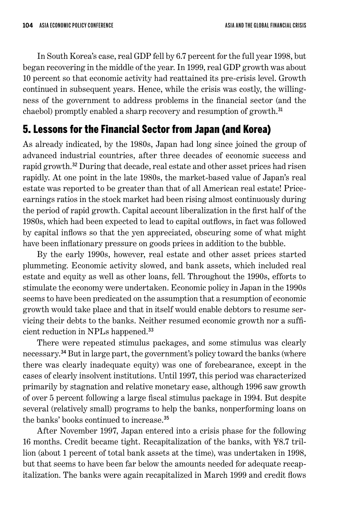In South Korea's case, real GDP fell by 6.7 percent for the full year 1998, but began recovering in the middle of the year. In 1999, real GDP growth was about 10 percent so that economic activity had reattained its pre-crisis level. Growth continued in subsequent years. Hence, while the crisis was costly, the willingness of the government to address problems in the financial sector (and the chaebol) promptly enabled a sharp recovery and resumption of growth.<sup>31</sup>

# 5. Lessons for the Financial Sector from Japan (and Korea)

As already indicated, by the 1980s, Japan had long since joined the group of advanced industrial countries, after three decades of economic success and rapid growth. <sup>32</sup> During that decade, real estate and other asset prices had risen rapidly. At one point in the late 1980s, the market-based value of Japan's real estate was reported to be greater than that of all American real estate! Priceearnings ratios in the stock market had been rising almost continuously during the period of rapid growth. Capital account liberalization in the first half of the 1980s, which had been expected to lead to capital outflows, in fact was followed by capital inflows so that the yen appreciated, obscuring some of what might have been inflationary pressure on goods prices in addition to the bubble.

By the early 1990s, however, real estate and other asset prices started plummeting. Economic activity slowed, and bank assets, which included real estate and equity as well as other loans, fell. Throughout the 1990s, efforts to stimulate the economy were undertaken. Economic policy in Japan in the 1990s seems to have been predicated on the assumption that a resumption of economic growth would take place and that in itself would enable debtors to resume servicing their debts to the banks. Neither resumed economic growth nor a sufficient reduction in NPLs happened. 33

There were repeated stimulus packages, and some stimulus was clearly necessary. <sup>34</sup> But in large part, the government's policy toward the banks (where there was clearly inadequate equity) was one of forebearance, except in the cases of clearly insolvent institutions. Until 1997, this period was characterized primarily by stagnation and relative monetary ease, although 1996 saw growth of over 5 percent following a large fiscal stimulus package in 1994. But despite several (relatively small) programs to help the banks, nonperforming loans on the banks' books continued to increase. 35

After November 1997, Japan entered into a crisis phase for the following 16 months. Credit became tight. Recapitalization of the banks, with ¥8.7 trillion (about 1 percent of total bank assets at the time), was undertaken in 1998, but that seems to have been far below the amounts needed for adequate recapitalization. The banks were again recapitalized in March 1999 and credit flows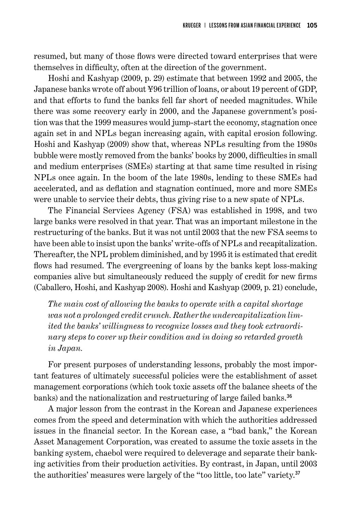resumed, but many of those flows were directed toward enterprises that were themselves in difficulty, often at the direction of the government.

Hoshi and Kashyap (2009, p. 29) estimate that between 1992 and 2005, the Japanese banks wrote off about ¥96 trillion of loans, or about 19 percent of GDP, and that efforts to fund the banks fell far short of needed magnitudes. While there was some recovery early in 2000, and the Japanese government's position was that the 1999 measures would jump-start the economy, stagnation once again set in and NPLs began increasing again, with capital erosion following. Hoshi and Kashyap (2009) show that, whereas NPLs resulting from the 1980s bubble were mostly removed from the banks' books by 2000, difficulties in small and medium enterprises (SMEs) starting at that same time resulted in rising NPLs once again. In the boom of the late 1980s, lending to these SMEs had accelerated, and as deflation and stagnation continued, more and more SMEs were unable to service their debts, thus giving rise to a new spate of NPLs.

The Financial Services Agency (FSA) was established in 1998, and two large banks were resolved in that year. That was an important milestone in the restructuring of the banks. But it was not until 2003 that the new FSA seems to have been able to insist upon the banks' write-offs of NPLs and recapitalization. Thereafter, the NPL problem diminished, and by 1995 it is estimated that credit flows had resumed. The evergreening of loans by the banks kept loss-making companies alive but simultaneously reduced the supply of credit for new firms (Caballero, Hoshi, and Kashyap 2008). Hoshi and Kashyap (2009, p. 21) conclude,

*The main cost of allowing the banks to operate with a capital shortage was not a prolonged credit crunch. Rather the undercapitalization limited the banks' willingness to recognize losses and they took extraordinary steps to cover up their condition and in doing so retarded growth in Japan.*

For present purposes of understanding lessons, probably the most important features of ultimately successful policies were the establishment of asset management corporations (which took toxic assets off the balance sheets of the banks) and the nationalization and restructuring of large failed banks. 36

A major lesson from the contrast in the Korean and Japanese experiences comes from the speed and determination with which the authorities addressed issues in the financial sector. In the Korean case, a "bad bank," the Korean Asset Management Corporation, was created to assume the toxic assets in the banking system, chaebol were required to deleverage and separate their banking activities from their production activities. By contrast, in Japan, until 2003 the authorities' measures were largely of the "too little, too late" variety.<sup>37</sup>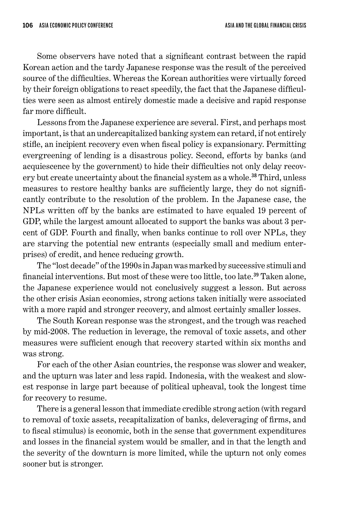Some observers have noted that a significant contrast between the rapid Korean action and the tardy Japanese response was the result of the perceived source of the difficulties. Whereas the Korean authorities were virtually forced by their foreign obligations to react speedily, the fact that the Japanese difficulties were seen as almost entirely domestic made a decisive and rapid response far more difficult.

Lessons from the Japanese experience are several. First, and perhaps most important, is that an undercapitalized banking system can retard, if not entirely stifle, an incipient recovery even when fiscal policy is expansionary. Permitting evergreening of lending is a disastrous policy. Second, efforts by banks (and acquiescence by the government) to hide their difficulties not only delay recovery but create uncertainty about the financial system as a whole. <sup>38</sup> Third, unless measures to restore healthy banks are sufficiently large, they do not significantly contribute to the resolution of the problem. In the Japanese case, the NPLs written off by the banks are estimated to have equaled 19 percent of GDP, while the largest amount allocated to support the banks was about 3 percent of GDP. Fourth and finally, when banks continue to roll over NPLs, they are starving the potential new entrants (especially small and medium enterprises) of credit, and hence reducing growth.

The "lost decade" of the 1990s in Japan was marked by successive stimuli and financial interventions. But most of these were too little, too late. <sup>39</sup> Taken alone, the Japanese experience would not conclusively suggest a lesson. But across the other crisis Asian economies, strong actions taken initially were associated with a more rapid and stronger recovery, and almost certainly smaller losses.

The South Korean response was the strongest, and the trough was reached by mid-2008. The reduction in leverage, the removal of toxic assets, and other measures were sufficient enough that recovery started within six months and was strong.

For each of the other Asian countries, the response was slower and weaker, and the upturn was later and less rapid. Indonesia, with the weakest and slowest response in large part because of political upheaval, took the longest time for recovery to resume.

There is a general lesson that immediate credible strong action (with regard to removal of toxic assets, recapitalization of banks, deleveraging of firms, and to fiscal stimulus) is economic, both in the sense that government expenditures and losses in the financial system would be smaller, and in that the length and the severity of the downturn is more limited, while the upturn not only comes sooner but is stronger.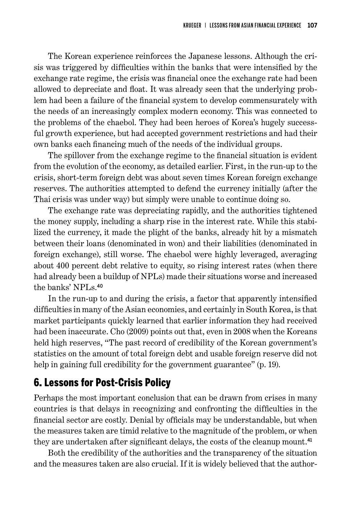The Korean experience reinforces the Japanese lessons. Although the crisis was triggered by difficulties within the banks that were intensified by the exchange rate regime, the crisis was financial once the exchange rate had been allowed to depreciate and float. It was already seen that the underlying problem had been a failure of the financial system to develop commensurately with the needs of an increasingly complex modern economy. This was connected to the problems of the chaebol. They had been heroes of Korea's hugely successful growth experience, but had accepted government restrictions and had their own banks each financing much of the needs of the individual groups.

The spillover from the exchange regime to the financial situation is evident from the evolution of the economy, as detailed earlier. First, in the run-up to the crisis, short-term foreign debt was about seven times Korean foreign exchange reserves. The authorities attempted to defend the currency initially (after the Thai crisis was under way) but simply were unable to continue doing so.

The exchange rate was depreciating rapidly, and the authorities tightened the money supply, including a sharp rise in the interest rate. While this stabilized the currency, it made the plight of the banks, already hit by a mismatch between their loans (denominated in won) and their liabilities (denominated in foreign exchange), still worse. The chaebol were highly leveraged, averaging about 400 percent debt relative to equity, so rising interest rates (when there had already been a buildup of NPLs) made their situations worse and increased the banks' NPLs. 40

In the run-up to and during the crisis, a factor that apparently intensified difficulties in many of the Asian economies, and certainly in South Korea, is that market participants quickly learned that earlier information they had received had been inaccurate. Cho (2009) points out that, even in 2008 when the Koreans held high reserves, "The past record of credibility of the Korean government's statistics on the amount of total foreign debt and usable foreign reserve did not help in gaining full credibility for the government guarantee" (p. 19).

# 6. Lessons for Post-Crisis Policy

Perhaps the most important conclusion that can be drawn from crises in many countries is that delays in recognizing and confronting the difficulties in the financial sector are costly. Denial by officials may be understandable, but when the measures taken are timid relative to the magnitude of the problem, or when they are undertaken after significant delays, the costs of the cleanup mount.<sup>41</sup>

Both the credibility of the authorities and the transparency of the situation and the measures taken are also crucial. If it is widely believed that the author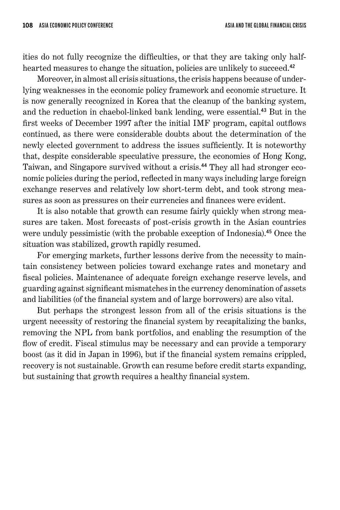ities do not fully recognize the difficulties, or that they are taking only halfhearted measures to change the situation, policies are unlikely to succeed.<sup>42</sup>

Moreover, in almost all crisis situations, the crisis happens because of underlying weaknesses in the economic policy framework and economic structure. It is now generally recognized in Korea that the cleanup of the banking system, and the reduction in chaebol-linked bank lending, were essential. <sup>43</sup> But in the first weeks of December 1997 after the initial IMF program, capital outflows continued, as there were considerable doubts about the determination of the newly elected government to address the issues sufficiently. It is noteworthy that, despite considerable speculative pressure, the economies of Hong Kong, Taiwan, and Singapore survived without a crisis. 44 They all had stronger economic policies during the period, reflected in many ways including large foreign exchange reserves and relatively low short-term debt, and took strong measures as soon as pressures on their currencies and finances were evident.

It is also notable that growth can resume fairly quickly when strong measures are taken. Most forecasts of post-crisis growth in the Asian countries were unduly pessimistic (with the probable exception of Indonesia). <sup>45</sup> Once the situation was stabilized, growth rapidly resumed.

For emerging markets, further lessons derive from the necessity to maintain consistency between policies toward exchange rates and monetary and fiscal policies. Maintenance of adequate foreign exchange reserve levels, and guarding against significant mismatches in the currency denomination of assets and liabilities (of the financial system and of large borrowers) are also vital.

But perhaps the strongest lesson from all of the crisis situations is the urgent necessity of restoring the financial system by recapitalizing the banks, removing the NPL from bank portfolios, and enabling the resumption of the flow of credit. Fiscal stimulus may be necessary and can provide a temporary boost (as it did in Japan in 1996), but if the financial system remains crippled, recovery is not sustainable. Growth can resume before credit starts expanding, but sustaining that growth requires a healthy financial system.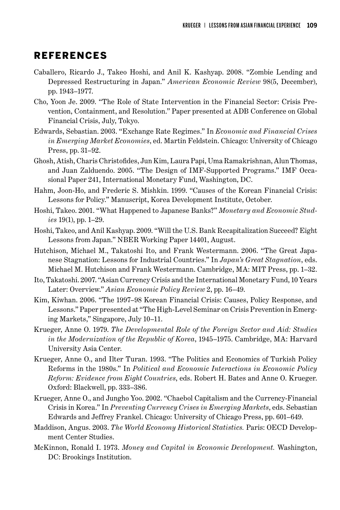#### REFERENCES

- Caballero, Ricardo J., Takeo Hoshi, and Anil K. Kashyap. 2008. "Zombie Lending and Depressed Restructuring in Japan." *American Economic Review* 98(5, December), pp. 1943–1977.
- Cho, Yoon Je. 2009. "The Role of State Intervention in the Financial Sector: Crisis Prevention, Containment, and Resolution." Paper presented at ADB Conference on Global Financial Crisis, July, Tokyo.
- Edwards, Sebastian. 2003. "Exchange Rate Regimes." In *Economic and Financial Crises in Emerging Market Economies*, ed. Martin Feldstein. Chicago: University of Chicago Press, pp. 31–92.
- Ghosh, Atish, Charis Christofides, Jun Kim, Laura Papi, Uma Ramakrishnan, Alun Thomas, and Juan Zalduendo. 2005. "The Design of IMF-Supported Programs." IMF Occasional Paper 241, International Monetary Fund, Washington, DC.
- Hahm, Joon-Ho, and Frederic S. Mishkin. 1999. "Causes of the Korean Financial Crisis: Lessons for Policy." Manuscript, Korea Development Institute, October.
- Hoshi, Takeo. 2001. "What Happened to Japanese Banks?" *Monetary and Economic Studies* 19(1), pp. 1–29.
- Hoshi, Takeo, and Anil Kashyap. 2009. "Will the U.S. Bank Recapitalization Succeed? Eight Lessons from Japan." NBER Working Paper 14401, August.
- Hutchison, Michael M., Takatoshi Ito, and Frank Westermann. 2006. "The Great Japanese Stagnation: Lessons for Industrial Countries." In *Japan's Great Stagnation*, eds. Michael M. Hutchison and Frank Westermann. Cambridge, MA: MIT Press, pp. 1–32.
- Ito, Takatoshi. 2007. "Asian Currency Crisis and the International Monetary Fund, 10 Years Later: Overview." *Asian Economic Policy Review* 2, pp. 16–49.
- Kim, Kiwhan. 2006. "The 1997–98 Korean Financial Crisis: Causes, Policy Response, and Lessons." Paper presented at "The High-Level Seminar on Crisis Prevention in Emerging Markets," Singapore, July 10–11.
- Krueger, Anne O. 1979. *The Developmental Role of the Foreign Sector and Aid: Studies in the Modernization of the Republic of Korea*, 1945–1975. Cambridge, MA: Harvard University Asia Center.
- Krueger, Anne O., and Ilter Turan. 1993. "The Politics and Economics of Turkish Policy Reforms in the 1980s." In *Political and Economic Interactions in Economic Policy Reform: Evidence from Eight Countries*, eds. Robert H. Bates and Anne O. Krueger. Oxford: Blackwell, pp. 333–386.
- Krueger, Anne O., and Jungho Yoo. 2002. "Chaebol Capitalism and the Currency-Financial Crisis in Korea." In *Preventing Currency Crises in Emerging Markets*, eds. Sebastian Edwards and Jeffrey Frankel. Chicago: University of Chicago Press, pp. 601–649.
- Maddison, Angus. 2003. *The World Economy Historical Statistics.* Paris: OECD Development Center Studies.
- McKinnon, Ronald I. 1973. *Money and Capital in Economic Development.* Washington, DC: Brookings Institution.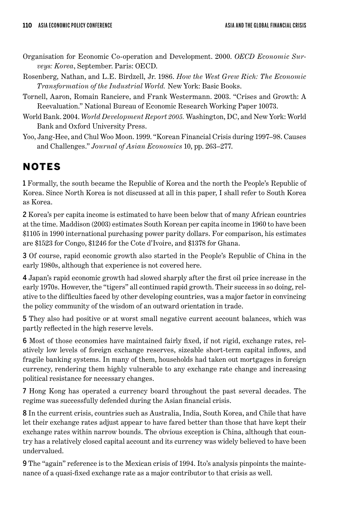- Organisation for Economic Co-operation and Development. 2000. *OECD Economic Surveys: Korea*, September. Paris: OECD.
- Rosenberg, Nathan, and L.E. Birdzell, Jr. 1986. *How the West Grew Rich: The Economic Transformation of the Industrial World.* New York: Basic Books.
- Tornell, Aaron, Romain Ranciere, and Frank Westermann. 2003. "Crises and Growth: A Reevaluation." National Bureau of Economic Research Working Paper 10073.
- World Bank. 2004. *World Development Report 2005.* Washington, DC, and New York: World Bank and Oxford University Press.
- Yoo, Jang-Hee, and Chul Woo Moon. 1999. "Korean Financial Crisis during 1997–98. Causes and Challenges." *Journal of Asian Economics* 10, pp. 263–277.

# NOTES

1 Formally, the south became the Republic of Korea and the north the People's Republic of Korea. Since North Korea is not discussed at all in this paper, I shall refer to South Korea as Korea.

2 Korea's per capita income is estimated to have been below that of many African countries at the time. Maddison (2003) estimates South Korean per capita income in 1960 to have been \$1105 in 1990 international purchasing power parity dollars. For comparison, his estimates are \$1523 for Congo, \$1246 for the Cote d'Ivoire, and \$1378 for Ghana.

3 Of course, rapid economic growth also started in the People's Republic of China in the early 1980s, although that experience is not covered here.

4 Japan's rapid economic growth had slowed sharply after the first oil price increase in the early 1970s. However, the "tigers" all continued rapid growth. Their success in so doing, relative to the difficulties faced by other developing countries, was a major factor in convincing the policy community of the wisdom of an outward orientation in trade.

5 They also had positive or at worst small negative current account balances, which was partly reflected in the high reserve levels.

6 Most of those economies have maintained fairly fixed, if not rigid, exchange rates, relatively low levels of foreign exchange reserves, sizeable short-term capital inflows, and fragile banking systems. In many of them, households had taken out mortgages in foreign currency, rendering them highly vulnerable to any exchange rate change and increasing political resistance for necessary changes.

7 Hong Kong has operated a currency board throughout the past several decades. The regime was successfully defended during the Asian financial crisis.

8 In the current crisis, countries such as Australia, India, South Korea, and Chile that have let their exchange rates adjust appear to have fared better than those that have kept their exchange rates within narrow bounds. The obvious exception is China, although that country has a relatively closed capital account and its currency was widely believed to have been undervalued.

9 The "again" reference is to the Mexican crisis of 1994. Ito's analysis pinpoints the maintenance of a quasi-fixed exchange rate as a major contributor to that crisis as well.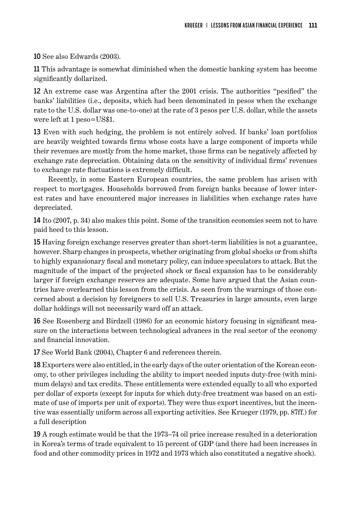10 See also Edwards (2003).

11 This advantage is somewhat diminished when the domestic banking system has become significantly dollarized.

12 An extreme case was Argentina after the 2001 crisis. The authorities "pesified" the banks' liabilities (i.e., deposits, which had been denominated in pesos when the exchange rate to the U.S. dollar was one-to-one) at the rate of 3 pesos per U.S. dollar, while the assets were left at 1 peso=US\$1.

13 Even with such hedging, the problem is not entirely solved. If banks' loan portfolios are heavily weighted towards firms whose costs have a large component of imports while their revenues are mostly from the home market, those firms can be negatively affected by exchange rate depreciation. Obtaining data on the sensitivity of individual firms' revenues to exchange rate fluctuations is extremely difficult.

Recently, in some Eastern European countries, the same problem has arisen with respect to mortgages. Households borrowed from foreign banks because of lower interest rates and have encountered major increases in liabilities when exchange rates have depreciated.

14 Ito (2007, p. 34) also makes this point. Some of the transition economies seem not to have paid heed to this lesson.

15 Having foreign exchange reserves greater than short-term liabilities is not a guarantee, however. Sharp changes in prospects, whether originating from global shocks or from shifts to highly expansionary fiscal and monetary policy, can induce speculators to attack. But the magnitude of the impact of the projected shock or fiscal expansion has to be considerably larger if foreign exchange reserves are adequate. Some have argued that the Asian countries have overlearned this lesson from the crisis. As seen from the warnings of those concerned about a decision by foreigners to sell U.S. Treasuries in large amounts, even large dollar holdings will not necessarily ward off an attack.

16 See Rosenberg and Birdzell (1986) for an economic history focusing in significant measure on the interactions between technological advances in the real sector of the economy and financial innovation.

17 See World Bank (2004), Chapter 6 and references therein.

18 Exporters were also entitled, in the early days of the outer orientation of the Korean economy, to other privileges including the ability to import needed inputs duty-free (with minimum delays) and tax credits. These entitlements were extended equally to all who exported per dollar of exports (except for inputs for which duty-free treatment was based on an estimate of use of imports per unit of exports). They were thus export incentives, but the incentive was essentially uniform across all exporting activities. See Krueger (1979, pp. 87ff.) for a full description

19 A rough estimate would be that the 1973–74 oil price increase resulted in a deterioration in Korea's terms of trade equivalent to 15 percent of GDP (and there had been increases in food and other commodity prices in 1972 and 1973 which also constituted a negative shock).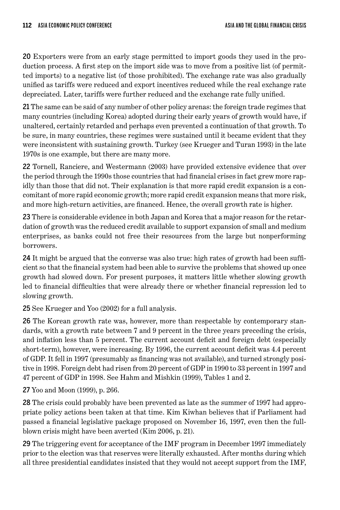20 Exporters were from an early stage permitted to import goods they used in the production process. A first step on the import side was to move from a positive list (of permitted imports) to a negative list (of those prohibited). The exchange rate was also gradually unified as tariffs were reduced and export incentives reduced while the real exchange rate depreciated. Later, tariffs were further reduced and the exchange rate fully unified.

21 The same can be said of any number of other policy arenas: the foreign trade regimes that many countries (including Korea) adopted during their early years of growth would have, if unaltered, certainly retarded and perhaps even prevented a continuation of that growth. To be sure, in many countries, these regimes were sustained until it became evident that they were inconsistent with sustaining growth. Turkey (see Krueger and Turan 1993) in the late 1970s is one example, but there are many more.

22 Tornell, Ranciere, and Westermann (2003) have provided extensive evidence that over the period through the 1990s those countries that had financial crises in fact grew more rapidly than those that did not. Their explanation is that more rapid credit expansion is a concomitant of more rapid economic growth; more rapid credit expansion means that more risk, and more high-return activities, are financed. Hence, the overall growth rate is higher.

23 There is considerable evidence in both Japan and Korea that a major reason for the retardation of growth was the reduced credit available to support expansion of small and medium enterprises, as banks could not free their resources from the large but nonperforming borrowers.

24 It might be argued that the converse was also true: high rates of growth had been sufficient so that the financial system had been able to survive the problems that showed up once growth had slowed down. For present purposes, it matters little whether slowing growth led to financial difficulties that were already there or whether financial repression led to slowing growth.

25 See Krueger and Yoo (2002) for a full analysis.

26 The Korean growth rate was, however, more than respectable by contemporary standards, with a growth rate between 7 and 9 percent in the three years preceding the crisis, and inflation less than 5 percent. The current account deficit and foreign debt (especially short-term), however, were increasing. By 1996, the current account deficit was 4.4 percent of GDP. It fell in 1997 (presumably as financing was not available), and turned strongly positive in 1998. Foreign debt had risen from 20 percent of GDP in 1990 to 33 percent in 1997 and 47 percent of GDP in 1998. See Hahm and Mishkin (1999), Tables 1 and 2.

27 Yoo and Moon (1999), p. 266.

28 The crisis could probably have been prevented as late as the summer of 1997 had appropriate policy actions been taken at that time. Kim Kiwhan believes that if Parliament had passed a financial legislative package proposed on November 16, 1997, even then the fullblown crisis might have been averted (Kim 2006, p. 21).

29 The triggering event for acceptance of the IMF program in December 1997 immediately prior to the election was that reserves were literally exhausted. After months during which all three presidential candidates insisted that they would not accept support from the IMF,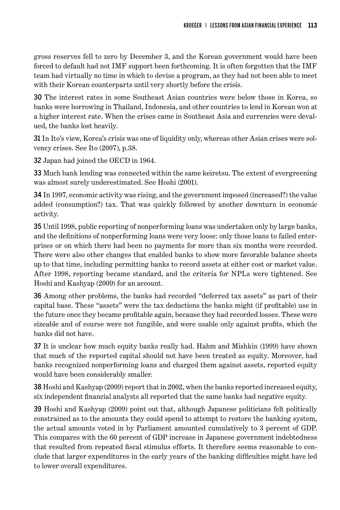gross reserves fell to zero by December 3, and the Korean government would have been forced to default had not IMF support been forthcoming. It is often forgotten that the IMF team had virtually no time in which to devise a program, as they had not been able to meet with their Korean counterparts until very shortly before the crisis.

30 The interest rates in some Southeast Asian countries were below those in Korea, so banks were borrowing in Thailand, Indonesia, and other countries to lend in Korean won at a higher interest rate. When the crises came in Southeast Asia and currencies were devalued, the banks lost heavily.

31 In Ito's view, Korea's crisis was one of liquidity only, whereas other Asian crises were solvency crises. See Ito (2007), p.38.

32 Japan had joined the OECD in 1964.

33 Much bank lending was connected within the same keiretsu. The extent of evergreening was almost surely underestimated. See Hoshi (2001).

34 In 1997, economic activity was rising, and the government imposed (increased?) the value added (consumption?) tax. That was quickly followed by another downturn in economic activity.

35 Until 1998, public reporting of nonperforming loans was undertaken only by large banks, and the definitions of nonperforming loans were very loose: only those loans to failed enterprises or on which there had been no payments for more than six months were recorded. There were also other changes that enabled banks to show more favorable balance sheets up to that time, including permitting banks to record assets at either cost or market value. After 1998, reporting became standard, and the criteria for NPLs were tightened. See Hoshi and Kashyap (2009) for an account.

36 Among other problems, the banks had recorded "deferred tax assets" as part of their capital base. These "assets" were the tax deductions the banks might (if profitable) use in the future once they became profitable again, because they had recorded losses. These were sizeable and of course were not fungible, and were usable only against profits, which the banks did not have.

37 It is unclear how much equity banks really had. Hahm and Mishkin (1999) have shown that much of the reported capital should not have been treated as equity. Moreover, had banks recognized nonperforming loans and charged them against assets, reported equity would have been considerably smaller.

38 Hoshi and Kashyap (2009) report that in 2002, when the banks reported increased equity, six independent financial analysts all reported that the same banks had negative equity.

39 Hoshi and Kashyap (2009) point out that, although Japanese politicians felt politically constrained as to the amounts they could spend to attempt to restore the banking system, the actual amounts voted in by Parliament amounted cumulatively to 3 percent of GDP. This compares with the 60 percent of GDP increase in Japanese government indebtedness that resulted from repeated fiscal stimulus efforts. It therefore seems reasonable to conclude that larger expenditures in the early years of the banking difficulties might have led to lower overall expenditures.